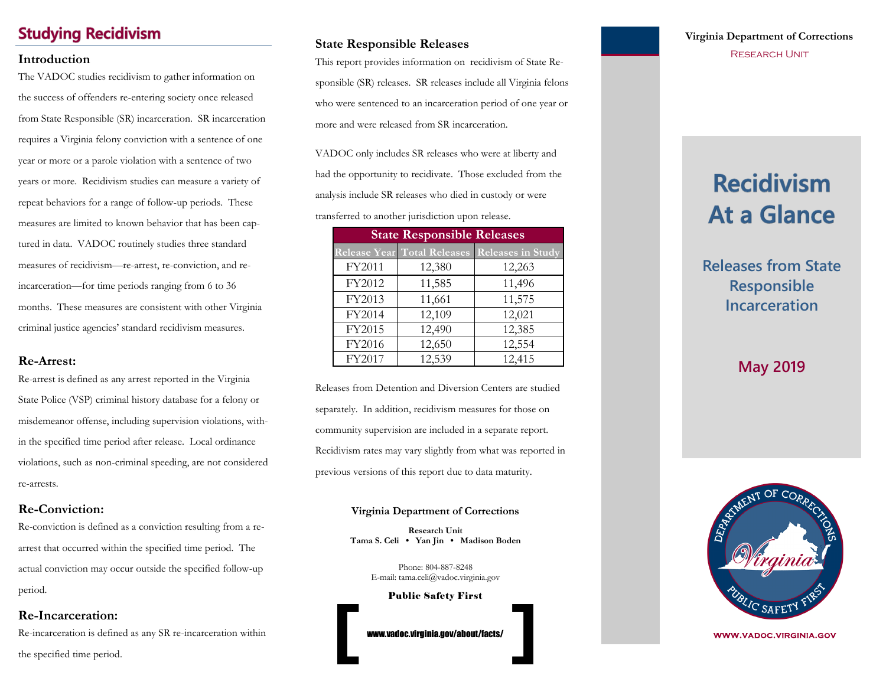# **Studying Recidivism**

The VADOC studies recidivism to gather information on the success of offenders re-entering society once released from State Responsible (SR) incarceration. SR incarceration requires a Virginia felony conviction with a sentence of one year or more or a parole violation with a sentence of two years or more. Recidivism studies can measure a variety of repeat behaviors for a range of follow-up periods. These measures are limited to known behavior that has been captured in data. VADOC routinely studies three standard measures of recidivism—re-arrest, re-conviction, and reincarceration—for time periods ranging from 6 to 36 months. These measures are consistent with other Virginia criminal justice agencies' standard recidivism measures.

#### **Re-Arrest:**

Re-arrest is defined as any arrest reported in the Virginia State Police (VSP) criminal history database for a felony or misdemeanor offense, including supervision violations, within the specified time period after release. Local ordinance violations, such as non-criminal speeding, are not considered re-arrests.

### **Re-Conviction:**

Re-conviction is defined as a conviction resulting from a rearrest that occurred within the specified time period. The actual conviction may occur outside the specified follow-up period.

## **Re-Incarceration:**

Re-incarceration is defined as any SR re-incarceration within the specified time period.

## **State Responsible Releases**

**Introduction**<br>
This report provides information on recidivism of State Re-<br>
This report provides information on recidivism of State Responsible (SR) releases. SR releases include all Virginia felons who were sentenced to an incarceration period of one year or more and were released from SR incarceration.

> VADOC only includes SR releases who were at liberty and had the opportunity to recidivate. Those excluded from the analysis include SR releases who died in custody or were

transferred to another jurisdiction upon release.

| <b>State Responsible Releases</b> |        |                                               |  |  |
|-----------------------------------|--------|-----------------------------------------------|--|--|
|                                   |        | Release Year Total Releases Releases in Study |  |  |
| FY2011                            | 12,380 | 12,263                                        |  |  |
| FY2012                            | 11,585 | 11,496                                        |  |  |
| FY2013                            | 11,661 | 11,575                                        |  |  |
| FY2014                            | 12,109 | 12,021                                        |  |  |
| FY2015                            | 12,490 | 12,385                                        |  |  |
| FY2016                            | 12,650 | 12,554                                        |  |  |
| FY2017                            | 12,539 | 12,415                                        |  |  |

Releases from Detention and Diversion Centers are studied separately. In addition, recidivism measures for those on community supervision are included in a separate report. Recidivism rates may vary slightly from what was reported in previous versions of this report due to data maturity.

#### **Virginia Department of Corrections**

**Research Unit Tama S. Celi • Yan Jin • Madison Boden**

> Phone: 804-887-8248 E-mail: tama.celi@vadoc.virginia.gov

> > Public Safety First

www.vadoc.virginia.gov/about/facts/

# **Virginia Department of Corrections**

# **Recidivism At a Glance**

**Releases from State Responsible Incarceration**

# **May 2019**



**WWW.VADOC.VIRGINIA.GOV**